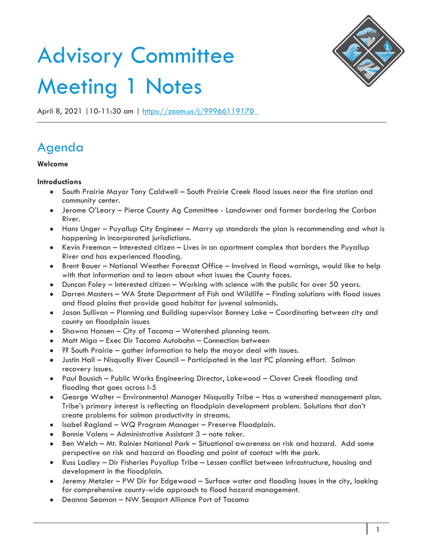# Advisory Committee Meeting 1 Notes



April 8, 2021 | 10-11:30 am | https://zoom.us/j/99966119170

# Agenda

## **Welcome**

### **Introductions**

- South Prairie Mayor Tony Caldwell South Prairie Creek flood issues near the fire station and community center.
- Jerome O'Leary Pierce County Ag Committee Landowner and farmer bordering the Carbon River.
- Hans Unger Puyallup City Engineer Marry up standards the plan is recommending and what is happening in incorporated jurisdictions.
- Kevin Freeman Interested citizen Lives in an apartment complex that borders the Puyallup River and has experienced flooding.
- Brent Bauer National Weather Forecast Office Involved in flood warnings, would like to help with that information and to learn about what issues the County faces.
- Duncan Foley Interested citizen Working with science with the public for over 50 years.
- Darren Masters WA State Department of Fish and Wildlife Finding solutions with flood issues and flood plains that provide good habitat for juvenal salmonids.
- Jason Sullivan Planning and Building supervisor Bonney Lake Coordinating between city and county on floodplain issues
- Shawna Hansen City of Tacoma Watershed planning team.
- Matt Miga Exec Dir Tacoma Autobahn Connection between
- ?? South Prairie gather information to help the mayor deal with issues.
- Justin Hall Nisqually River Council Participated in the last PC planning effort. Salmon recovery issues.
- Paul Bousich Public Works Engineering Director, Lakewood Clover Creek flooding and flooding that goes across I-5
- George Walter Environmental Manager Nisqually Tribe Has a watershed management plan. Tribe's primary interest is reflecting on floodplain development problem. Solutions that don't create problems for salmon productivity in streams.
- Isabel Ragland WQ Program Manager Preserve Floodplain.
- Bonnie Valens Administrative Assistant 3 note taker.
- Ben Welch Mt. Rainier National Park Situational awareness on risk and hazard. Add some perspective on risk and hazard on flooding and point of contact with the park.
- Russ Ladley Dir Fisheries Puyallup Tribe Lessen conflict between infrastructure, housing and development in the floodplain.
- Jeremy Metzler PW Dir for Edgewood Surface water and flooding issues in the city, looking for comprehensive county-wide approach to flood hazard management.
- Deanna Seaman NW Seaport Alliance Port of Tacoma